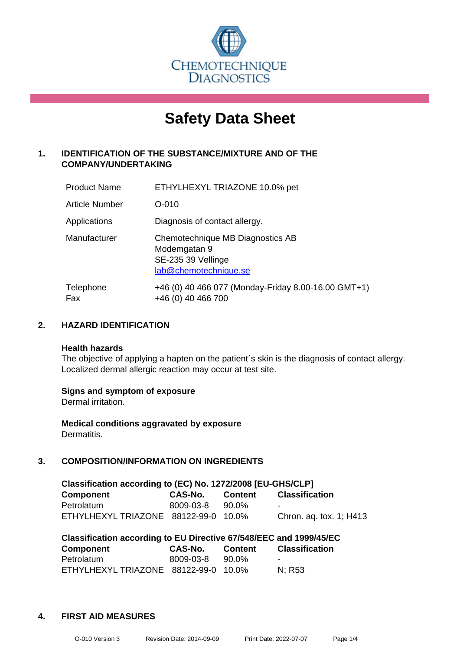

# **Safety Data Sheet**

### **1. IDENTIFICATION OF THE SUBSTANCE/MIXTURE AND OF THE COMPANY/UNDERTAKING**

| <b>Product Name</b> | ETHYLHEXYL TRIAZONE 10.0% pet                                                                   |
|---------------------|-------------------------------------------------------------------------------------------------|
| Article Number      | $O - 010$                                                                                       |
| Applications        | Diagnosis of contact allergy.                                                                   |
| Manufacturer        | Chemotechnique MB Diagnostics AB<br>Modemgatan 9<br>SE-235 39 Vellinge<br>lab@chemotechnique.se |
| Telephone<br>Fax    | +46 (0) 40 466 077 (Monday-Friday 8.00-16.00 GMT+1)<br>+46 (0) 40 466 700                       |

### **2. HAZARD IDENTIFICATION**

#### **Health hazards**

The objective of applying a hapten on the patient's skin is the diagnosis of contact allergy. Localized dermal allergic reaction may occur at test site.

### **Signs and symptom of exposure**

Dermal irritation.

**Medical conditions aggravated by exposure** Dermatitis.

### **3. COMPOSITION/INFORMATION ON INGREDIENTS**

| Classification according to (EC) No. 1272/2008 [EU-GHS/CLP] |           |         |                         |  |  |  |
|-------------------------------------------------------------|-----------|---------|-------------------------|--|--|--|
| <b>Component</b>                                            | CAS-No.   | Content | <b>Classification</b>   |  |  |  |
| Petrolatum                                                  | 8009-03-8 | 90.0%   | -                       |  |  |  |
| ETHYLHEXYL TRIAZONE 88122-99-0 10.0%                        |           |         | Chron. ag. tox. 1; H413 |  |  |  |

| Classification according to EU Directive 67/548/EEC and 1999/45/EC |           |                |                       |  |  |  |
|--------------------------------------------------------------------|-----------|----------------|-----------------------|--|--|--|
| Component                                                          | CAS-No.   | <b>Content</b> | <b>Classification</b> |  |  |  |
| Petrolatum                                                         | 8009-03-8 | 90.0%          |                       |  |  |  |
| ETHYLHEXYL TRIAZONE 88122-99-0 10.0%                               |           |                | N: R53                |  |  |  |

### **4. FIRST AID MEASURES**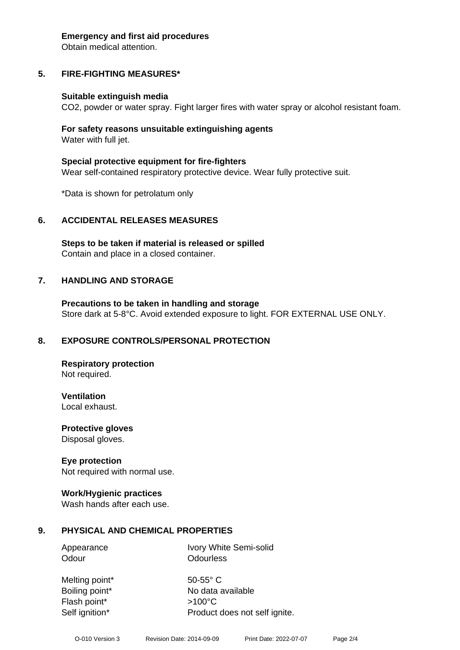#### **Emergency and first aid procedures**

Obtain medical attention.

# **5. FIRE-FIGHTING MEASURES\***

### **Suitable extinguish media**

CO2, powder or water spray. Fight larger fires with water spray or alcohol resistant foam.

### **For safety reasons unsuitable extinguishing agents** Water with full jet.

**Special protective equipment for fire-fighters** Wear self-contained respiratory protective device. Wear fully protective suit.

\*Data is shown for petrolatum only

# **6. ACCIDENTAL RELEASES MEASURES**

**Steps to be taken if material is released or spilled** Contain and place in a closed container.

# **7. HANDLING AND STORAGE**

**Precautions to be taken in handling and storage** Store dark at 5-8°C. Avoid extended exposure to light. FOR EXTERNAL USE ONLY.

# **8. EXPOSURE CONTROLS/PERSONAL PROTECTION**

**Respiratory protection** Not required.

**Ventilation** Local exhaust.

**Protective gloves** Disposal gloves.

## **Eye protection**

Not required with normal use.

## **Work/Hygienic practices**

Wash hands after each use.

# **9. PHYSICAL AND CHEMICAL PROPERTIES**

Appearance Ivory White Semi-solid Odour **Odourless** 

Melting point\* 50-55° C Boiling point\* No data available Flash point\* >100°C Self ignition\* Product does not self ignite.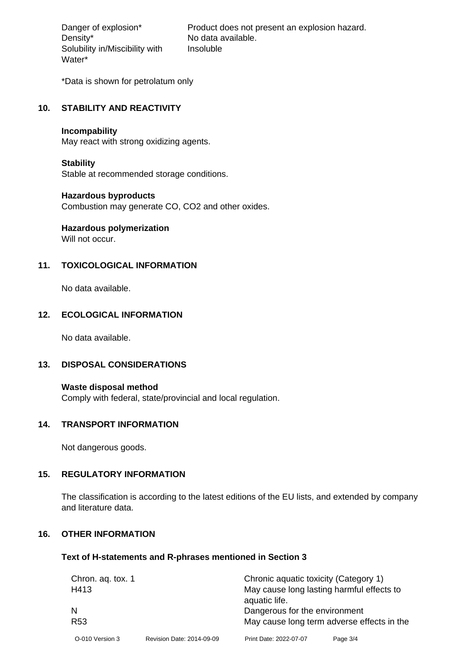Density\* No data available. Solubility in/Miscibility with Water\*

Danger of explosion\* Product does not present an explosion hazard. Insoluble

\*Data is shown for petrolatum only

#### **10. STABILITY AND REACTIVITY**

#### **Incompability**

May react with strong oxidizing agents.

#### **Stability**

Stable at recommended storage conditions.

#### **Hazardous byproducts**

Combustion may generate CO, CO2 and other oxides.

# **Hazardous polymerization**

Will not occur.

### **11. TOXICOLOGICAL INFORMATION**

No data available.

### **12. ECOLOGICAL INFORMATION**

No data available.

### **13. DISPOSAL CONSIDERATIONS**

**Waste disposal method** Comply with federal, state/provincial and local regulation.

#### **14. TRANSPORT INFORMATION**

Not dangerous goods.

### **15. REGULATORY INFORMATION**

The classification is according to the latest editions of the EU lists, and extended by company and literature data.

### **16. OTHER INFORMATION**

#### **Text of H-statements and R-phrases mentioned in Section 3**

| Chron. ag. tox. 1 |                           | Chronic aquatic toxicity (Category 1)      |          |  |
|-------------------|---------------------------|--------------------------------------------|----------|--|
| H413              |                           | May cause long lasting harmful effects to  |          |  |
|                   |                           | aquatic life.                              |          |  |
|                   |                           | Dangerous for the environment              |          |  |
| R <sub>53</sub>   |                           | May cause long term adverse effects in the |          |  |
| O-010 Version 3   | Revision Date: 2014-09-09 | Print Date: 2022-07-07                     | Page 3/4 |  |